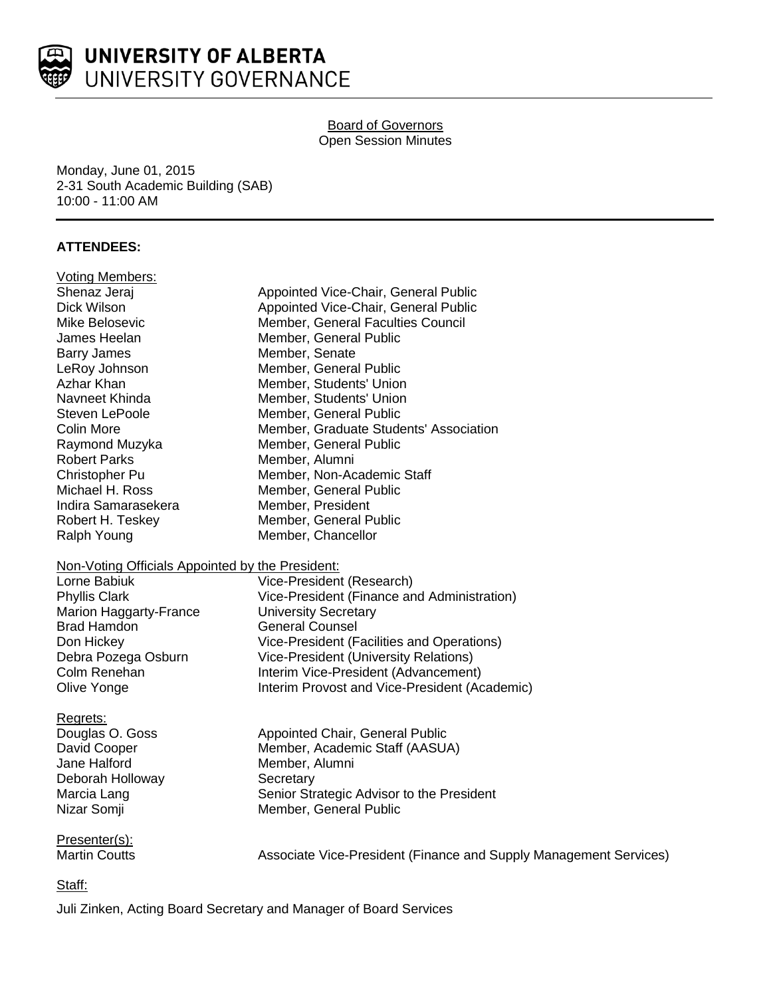

# Board of Governors Open Session Minutes

Monday, June 01, 2015 2-31 South Academic Building (SAB) 10:00 - 11:00 AM

# **ATTENDEES:**

| <b>Voting Members:</b>                           |                                                                   |
|--------------------------------------------------|-------------------------------------------------------------------|
| Shenaz Jeraj                                     | Appointed Vice-Chair, General Public                              |
| Dick Wilson                                      | Appointed Vice-Chair, General Public                              |
| Mike Belosevic                                   | Member, General Faculties Council                                 |
| James Heelan                                     | Member, General Public                                            |
| <b>Barry James</b>                               | Member, Senate                                                    |
| LeRoy Johnson                                    | Member, General Public                                            |
| Azhar Khan                                       | Member, Students' Union                                           |
| Navneet Khinda                                   | Member, Students' Union                                           |
| Steven LePoole                                   | Member, General Public                                            |
| Colin More                                       | Member, Graduate Students' Association                            |
| Raymond Muzyka                                   | Member, General Public                                            |
| <b>Robert Parks</b>                              | Member, Alumni                                                    |
| Christopher Pu                                   | Member, Non-Academic Staff                                        |
| Michael H. Ross                                  | Member, General Public                                            |
| Indira Samarasekera                              | Member, President                                                 |
| Robert H. Teskey                                 | Member, General Public                                            |
| Ralph Young                                      | Member, Chancellor                                                |
| Non-Voting Officials Appointed by the President: |                                                                   |
| Lorne Babiuk                                     | Vice-President (Research)                                         |
| <b>Phyllis Clark</b>                             | Vice-President (Finance and Administration)                       |
| Marion Haggarty-France                           | <b>University Secretary</b>                                       |
| <b>Brad Hamdon</b>                               | <b>General Counsel</b>                                            |
| Don Hickey                                       | Vice-President (Facilities and Operations)                        |
| Debra Pozega Osburn                              | <b>Vice-President (University Relations)</b>                      |
| Colm Renehan                                     | Interim Vice-President (Advancement)                              |
| Olive Yonge                                      | Interim Provost and Vice-President (Academic)                     |
| Regrets:                                         |                                                                   |
| Douglas O. Goss                                  | Appointed Chair, General Public                                   |
| David Cooper                                     | Member, Academic Staff (AASUA)                                    |
| Jane Halford                                     | Member, Alumni                                                    |
| Deborah Holloway                                 | Secretary                                                         |
| Marcia Lang                                      | Senior Strategic Advisor to the President                         |
| Nizar Somji                                      | Member, General Public                                            |
| Presenter(s):                                    |                                                                   |
| <b>Martin Coutts</b>                             | Associate Vice-President (Finance and Supply Management Services) |
|                                                  |                                                                   |

Staff:

Juli Zinken, Acting Board Secretary and Manager of Board Services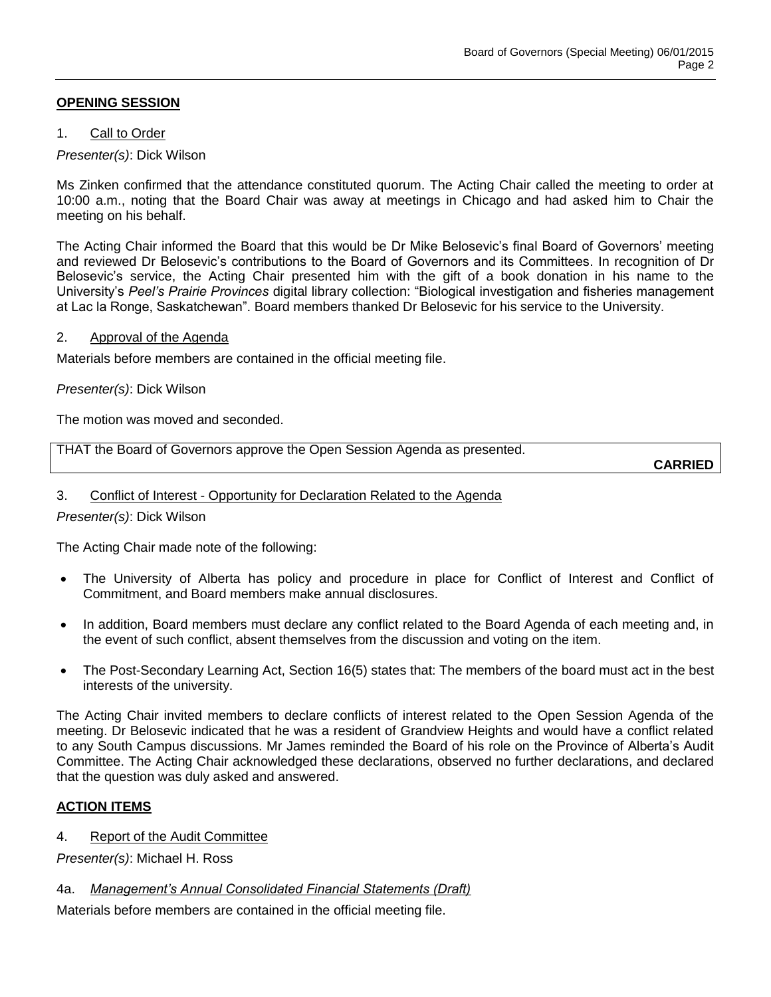# **OPENING SESSION**

### 1. Call to Order

## *Presenter(s)*: Dick Wilson

Ms Zinken confirmed that the attendance constituted quorum. The Acting Chair called the meeting to order at 10:00 a.m., noting that the Board Chair was away at meetings in Chicago and had asked him to Chair the meeting on his behalf.

The Acting Chair informed the Board that this would be Dr Mike Belosevic's final Board of Governors' meeting and reviewed Dr Belosevic's contributions to the Board of Governors and its Committees. In recognition of Dr Belosevic's service, the Acting Chair presented him with the gift of a book donation in his name to the University's *Peel's Prairie Provinces* digital library collection: "Biological investigation and fisheries management at Lac la Ronge, Saskatchewan". Board members thanked Dr Belosevic for his service to the University.

### 2. Approval of the Agenda

Materials before members are contained in the official meeting file.

### *Presenter(s)*: Dick Wilson

The motion was moved and seconded.

THAT the Board of Governors approve the Open Session Agenda as presented.

**CARRIED**

#### 3. Conflict of Interest - Opportunity for Declaration Related to the Agenda

*Presenter(s)*: Dick Wilson

The Acting Chair made note of the following:

- The University of Alberta has policy and procedure in place for Conflict of Interest and Conflict of Commitment, and Board members make annual disclosures.
- In addition, Board members must declare any conflict related to the Board Agenda of each meeting and, in the event of such conflict, absent themselves from the discussion and voting on the item.
- The Post-Secondary Learning Act, Section 16(5) states that: The members of the board must act in the best interests of the university.

The Acting Chair invited members to declare conflicts of interest related to the Open Session Agenda of the meeting. Dr Belosevic indicated that he was a resident of Grandview Heights and would have a conflict related to any South Campus discussions. Mr James reminded the Board of his role on the Province of Alberta's Audit Committee. The Acting Chair acknowledged these declarations, observed no further declarations, and declared that the question was duly asked and answered.

### **ACTION ITEMS**

4. Report of the Audit Committee

*Presenter(s)*: Michael H. Ross

### 4a. *Management's Annual Consolidated Financial Statements (Draft)*

Materials before members are contained in the official meeting file.